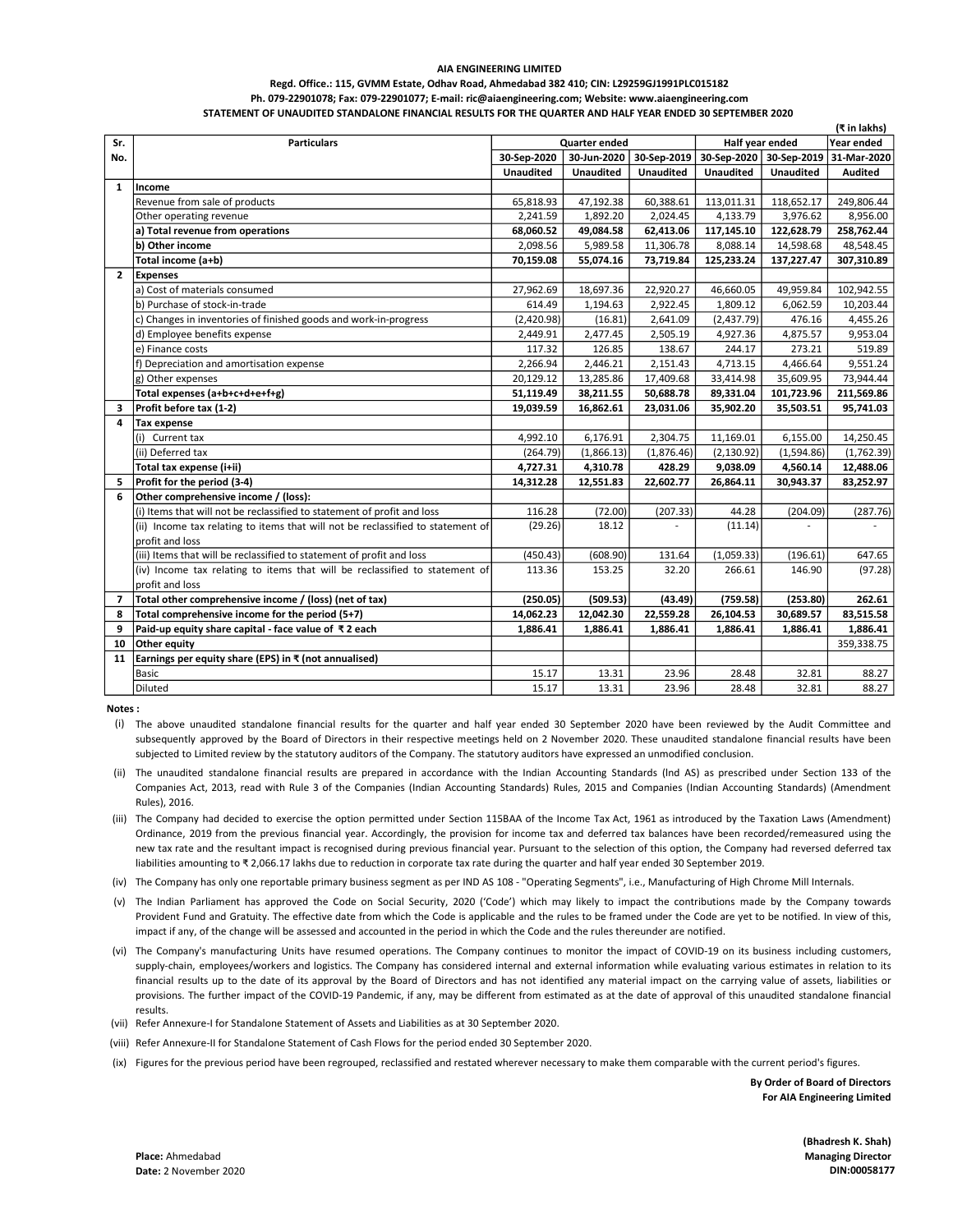#### Regd. Office.: 115, GVMM Estate, Odhav Road, Ahmedabad 382 410; CIN: L29259GJ1991PLC015182 Ph. 079-22901078; Fax: 079-22901077; E-mail: ric@aiaengineering.com; Website: www.aiaengineering.com STATEMENT OF UNAUDITED STANDALONE FINANCIAL RESULTS FOR THE QUARTER AND HALF YEAR ENDED 30 SEPTEMBER 2020

|                |                                                                                 |                                         |                  |                  |                  | (₹ in lakhs)     |                |
|----------------|---------------------------------------------------------------------------------|-----------------------------------------|------------------|------------------|------------------|------------------|----------------|
| Sr.            | <b>Particulars</b>                                                              | Half year ended<br><b>Quarter ended</b> |                  |                  | Year ended       |                  |                |
| No.            |                                                                                 | 30-Sep-2020                             | 30-Jun-2020      | 30-Sep-2019      | 30-Sep-2020      | 30-Sep-2019      | 31-Mar-2020    |
|                |                                                                                 | <b>Unaudited</b>                        | <b>Unaudited</b> | <b>Unaudited</b> | <b>Unaudited</b> | <b>Unaudited</b> | <b>Audited</b> |
| $\mathbf{1}$   | Income                                                                          |                                         |                  |                  |                  |                  |                |
|                | Revenue from sale of products                                                   | 65,818.93                               | 47,192.38        | 60,388.61        | 113,011.31       | 118,652.17       | 249,806.44     |
|                | Other operating revenue                                                         | 2,241.59                                | 1,892.20         | 2,024.45         | 4,133.79         | 3,976.62         | 8,956.00       |
|                | a) Total revenue from operations                                                | 68,060.52                               | 49,084.58        | 62,413.06        | 117,145.10       | 122,628.79       | 258,762.44     |
|                | b) Other income                                                                 | 2,098.56                                | 5,989.58         | 11,306.78        | 8,088.14         | 14,598.68        | 48,548.45      |
|                | Total income (a+b)                                                              | 70,159.08                               | 55,074.16        | 73,719.84        | 125,233.24       | 137,227.47       | 307,310.89     |
| $\overline{2}$ | Expenses                                                                        |                                         |                  |                  |                  |                  |                |
|                | la) Cost of materials consumed                                                  | 27,962.69                               | 18,697.36        | 22,920.27        | 46,660.05        | 49,959.84        | 102,942.55     |
|                | b) Purchase of stock-in-trade                                                   | 614.49                                  | 1,194.63         | 2,922.45         | 1,809.12         | 6,062.59         | 10,203.44      |
|                | c) Changes in inventories of finished goods and work-in-progress                | (2,420.98)                              | (16.81)          | 2,641.09         | (2,437.79)       | 476.16           | 4,455.26       |
|                | d) Employee benefits expense                                                    | 2,449.91                                | 2,477.45         | 2,505.19         | 4,927.36         | 4,875.57         | 9,953.04       |
|                | e) Finance costs                                                                | 117.32                                  | 126.85           | 138.67           | 244.17           | 273.21           | 519.89         |
|                | f) Depreciation and amortisation expense                                        | 2,266.94                                | 2,446.21         | 2,151.43         | 4,713.15         | 4,466.64         | 9,551.24       |
|                | g) Other expenses                                                               | 20,129.12                               | 13,285.86        | 17,409.68        | 33,414.98        | 35,609.95        | 73,944.44      |
|                | Total expenses (a+b+c+d+e+f+g)                                                  | 51,119.49                               | 38,211.55        | 50,688.78        | 89,331.04        | 101,723.96       | 211,569.86     |
| 3              | Profit before tax (1-2)                                                         | 19,039.59                               | 16,862.61        | 23,031.06        | 35,902.20        | 35,503.51        | 95,741.03      |
| 4              | <b>Tax expense</b>                                                              |                                         |                  |                  |                  |                  |                |
|                | (i) Current tax                                                                 | 4,992.10                                | 6,176.91         | 2,304.75         | 11,169.01        | 6,155.00         | 14,250.45      |
|                | (ii) Deferred tax                                                               | (264.79)                                | (1,866.13)       | (1,876.46)       | (2, 130.92)      | (1,594.86)       | (1,762.39)     |
|                | Total tax expense (i+ii)                                                        | 4,727.31                                | 4,310.78         | 428.29           | 9,038.09         | 4,560.14         | 12,488.06      |
| 5              | Profit for the period (3-4)                                                     | 14,312.28                               | 12,551.83        | 22,602.77        | 26,864.11        | 30,943.37        | 83,252.97      |
| 6              | Other comprehensive income / (loss):                                            |                                         |                  |                  |                  |                  |                |
|                | (i) Items that will not be reclassified to statement of profit and loss         | 116.28                                  | (72.00)          | (207.33)         | 44.28            | (204.09)         | (287.76)       |
|                | (ii) Income tax relating to items that will not be reclassified to statement of | (29.26)                                 | 18.12            |                  | (11.14)          |                  |                |
|                | profit and loss                                                                 |                                         |                  |                  |                  |                  |                |
|                | (iii) Items that will be reclassified to statement of profit and loss           | (450.43)                                | (608.90)         | 131.64           | (1,059.33)       | (196.61)         | 647.65         |
|                | (iv) Income tax relating to items that will be reclassified to statement of     | 113.36                                  | 153.25           | 32.20            | 266.61           | 146.90           | (97.28)        |
|                | profit and loss                                                                 |                                         |                  |                  |                  |                  |                |
| 7              | Total other comprehensive income / (loss) (net of tax)                          | (250.05)                                | (509.53)         | (43.49)          | (759.58)         | (253.80)         | 262.61         |
| 8              | Total comprehensive income for the period (5+7)                                 | 14,062.23                               | 12,042.30        | 22,559.28        | 26,104.53        | 30,689.57        | 83,515.58      |
| 9              | Paid-up equity share capital - face value of ₹2 each                            | 1,886.41                                | 1,886.41         | 1,886.41         | 1,886.41         | 1,886.41         | 1,886.41       |
| 10             | Other equity                                                                    |                                         |                  |                  |                  |                  | 359,338.75     |
| 11             | Earnings per equity share (EPS) in $\bar{x}$ (not annualised)                   |                                         |                  |                  |                  |                  |                |
|                | <b>Basic</b>                                                                    | 15.17                                   | 13.31            | 23.96            | 28.48            | 32.81            | 88.27          |
|                | <b>Diluted</b>                                                                  | 15.17                                   | 13.31            | 23.96            | 28.48            | 32.81            | 88.27          |

Notes :

(i) The above unaudited standalone financial results for the quarter and half year ended 30 September 2020 have been reviewed by the Audit Committee and subsequently approved by the Board of Directors in their respective meetings held on 2 November 2020. These unaudited standalone financial results have been subjected to Limited review by the statutory auditors of the Company. The statutory auditors have expressed an unmodified conclusion.

- (ii) The unaudited standalone financial results are prepared in accordance with the Indian Accounting Standards (lnd AS) as prescribed under Section 133 of the Companies Act, 2013, read with Rule 3 of the Companies (Indian Accounting Standards) Rules, 2015 and Companies (Indian Accounting Standards) (Amendment Rules), 2016.
- (iii) The Company had decided to exercise the option permitted under Section 115BAA of the Income Tax Act, 1961 as introduced by the Taxation Laws (Amendment) Ordinance, 2019 from the previous financial year. Accordingly, the provision for income tax and deferred tax balances have been recorded/remeasured using the new tax rate and the resultant impact is recognised during previous financial year. Pursuant to the selection of this option, the Company had reversed deferred tax liabilities amounting to ₹ 2,066.17 lakhs due to reduction in corporate tax rate during the quarter and half year ended 30 September 2019.

(iv) The Company has only one reportable primary business segment as per IND AS 108 - "Operating Segments", i.e., Manufacturing of High Chrome Mill Internals.

- (v) The Indian Parliament has approved the Code on Social Security, 2020 ('Code') which may likely to impact the contributions made by the Company towards Provident Fund and Gratuity. The effective date from which the Code is applicable and the rules to be framed under the Code are yet to be notified. In view of this, impact if any, of the change will be assessed and accounted in the period in which the Code and the rules thereunder are notified.
- (vi) The Company's manufacturing Units have resumed operations. The Company continues to monitor the impact of COVID-19 on its business including customers, supply-chain, employees/workers and logistics. The Company has considered internal and external information while evaluating various estimates in relation to its financial results up to the date of its approval by the Board of Directors and has not identified any material impact on the carrying value of assets, liabilities or provisions. The further impact of the COVID-19 Pandemic, if any, may be different from estimated as at the date of approval of this unaudited standalone financial results.
- (vii) Refer Annexure-I for Standalone Statement of Assets and Liabilities as at 30 September 2020.
- (viii) Refer Annexure-II for Standalone Statement of Cash Flows for the period ended 30 September 2020.
- (ix) Figures for the previous period have been regrouped, reclassified and restated wherever necessary to make them comparable with the current period's figures.

By Order of Board of Directors For AIA Engineering Limited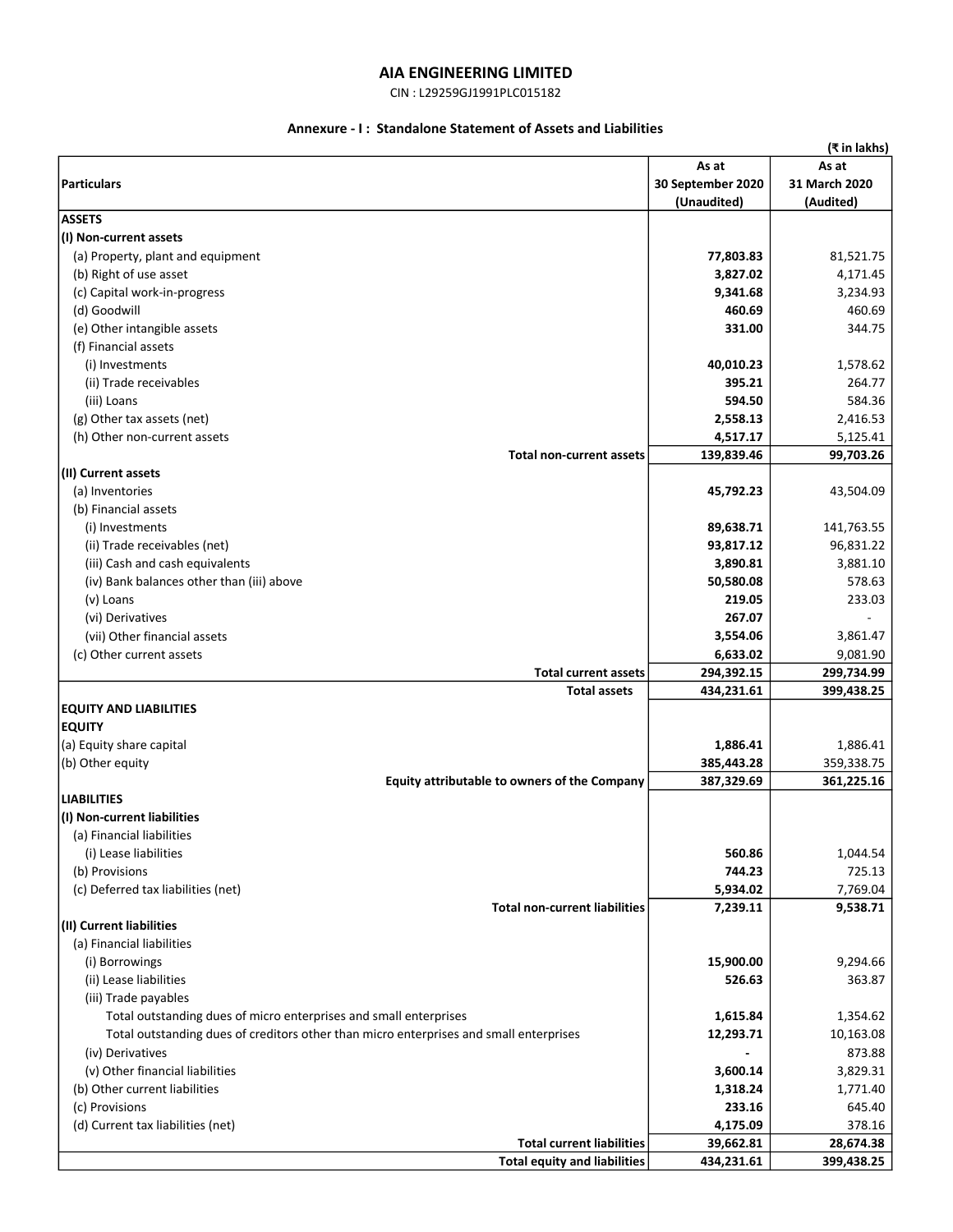## CIN : L29259GJ1991PLC015182

# Annexure - I : Standalone Statement of Assets and Liabilities

|                                                                                        |                   | (₹ in lakhs)  |
|----------------------------------------------------------------------------------------|-------------------|---------------|
|                                                                                        | As at             | As at         |
| <b>Particulars</b>                                                                     | 30 September 2020 | 31 March 2020 |
|                                                                                        | (Unaudited)       | (Audited)     |
| <b>ASSETS</b>                                                                          |                   |               |
| (I) Non-current assets                                                                 |                   |               |
| (a) Property, plant and equipment                                                      | 77,803.83         | 81,521.75     |
| (b) Right of use asset                                                                 | 3,827.02          | 4,171.45      |
| (c) Capital work-in-progress                                                           | 9,341.68          | 3,234.93      |
| (d) Goodwill                                                                           | 460.69            | 460.69        |
| (e) Other intangible assets                                                            | 331.00            | 344.75        |
| (f) Financial assets                                                                   |                   |               |
| (i) Investments                                                                        | 40,010.23         | 1,578.62      |
| (ii) Trade receivables                                                                 | 395.21            | 264.77        |
| (iii) Loans                                                                            | 594.50            | 584.36        |
| (g) Other tax assets (net)                                                             | 2,558.13          | 2,416.53      |
| (h) Other non-current assets                                                           | 4,517.17          | 5,125.41      |
| <b>Total non-current assets</b>                                                        | 139,839.46        | 99,703.26     |
| (II) Current assets                                                                    |                   |               |
| (a) Inventories                                                                        | 45,792.23         | 43,504.09     |
| (b) Financial assets                                                                   |                   |               |
| (i) Investments                                                                        | 89,638.71         | 141,763.55    |
| (ii) Trade receivables (net)                                                           | 93,817.12         | 96,831.22     |
| (iii) Cash and cash equivalents                                                        | 3,890.81          | 3,881.10      |
| (iv) Bank balances other than (iii) above                                              | 50,580.08         | 578.63        |
| (v) Loans                                                                              | 219.05            | 233.03        |
| (vi) Derivatives                                                                       | 267.07            |               |
| (vii) Other financial assets                                                           | 3,554.06          | 3,861.47      |
| (c) Other current assets                                                               | 6,633.02          | 9,081.90      |
| <b>Total current assets</b>                                                            | 294,392.15        | 299,734.99    |
| <b>Total assets</b>                                                                    | 434,231.61        | 399,438.25    |
| <b>EQUITY AND LIABILITIES</b>                                                          |                   |               |
| <b>EQUITY</b>                                                                          |                   |               |
| (a) Equity share capital                                                               | 1,886.41          | 1,886.41      |
| (b) Other equity                                                                       | 385,443.28        | 359,338.75    |
| Equity attributable to owners of the Company                                           | 387,329.69        | 361,225.16    |
| <b>LIABILITIES</b>                                                                     |                   |               |
| (I) Non-current liabilities                                                            |                   |               |
| (a) Financial liabilities                                                              |                   |               |
| (i) Lease liabilities                                                                  | 560.86            | 1,044.54      |
| (b) Provisions                                                                         | 744.23            | 725.13        |
| (c) Deferred tax liabilities (net)                                                     | 5,934.02          | 7,769.04      |
| <b>Total non-current liabilities</b>                                                   | 7,239.11          | 9,538.71      |
| (II) Current liabilities                                                               |                   |               |
| (a) Financial liabilities                                                              |                   |               |
| (i) Borrowings                                                                         | 15,900.00         | 9,294.66      |
| (ii) Lease liabilities                                                                 | 526.63            | 363.87        |
| (iii) Trade payables                                                                   |                   |               |
| Total outstanding dues of micro enterprises and small enterprises                      | 1,615.84          | 1,354.62      |
| Total outstanding dues of creditors other than micro enterprises and small enterprises | 12,293.71         | 10,163.08     |
| (iv) Derivatives                                                                       |                   | 873.88        |
| (v) Other financial liabilities                                                        | 3,600.14          | 3,829.31      |
| (b) Other current liabilities                                                          | 1,318.24          | 1,771.40      |
| (c) Provisions                                                                         | 233.16            | 645.40        |
| (d) Current tax liabilities (net)                                                      | 4,175.09          | 378.16        |
| <b>Total current liabilities</b>                                                       | 39,662.81         | 28,674.38     |
| <b>Total equity and liabilities</b>                                                    | 434,231.61        | 399,438.25    |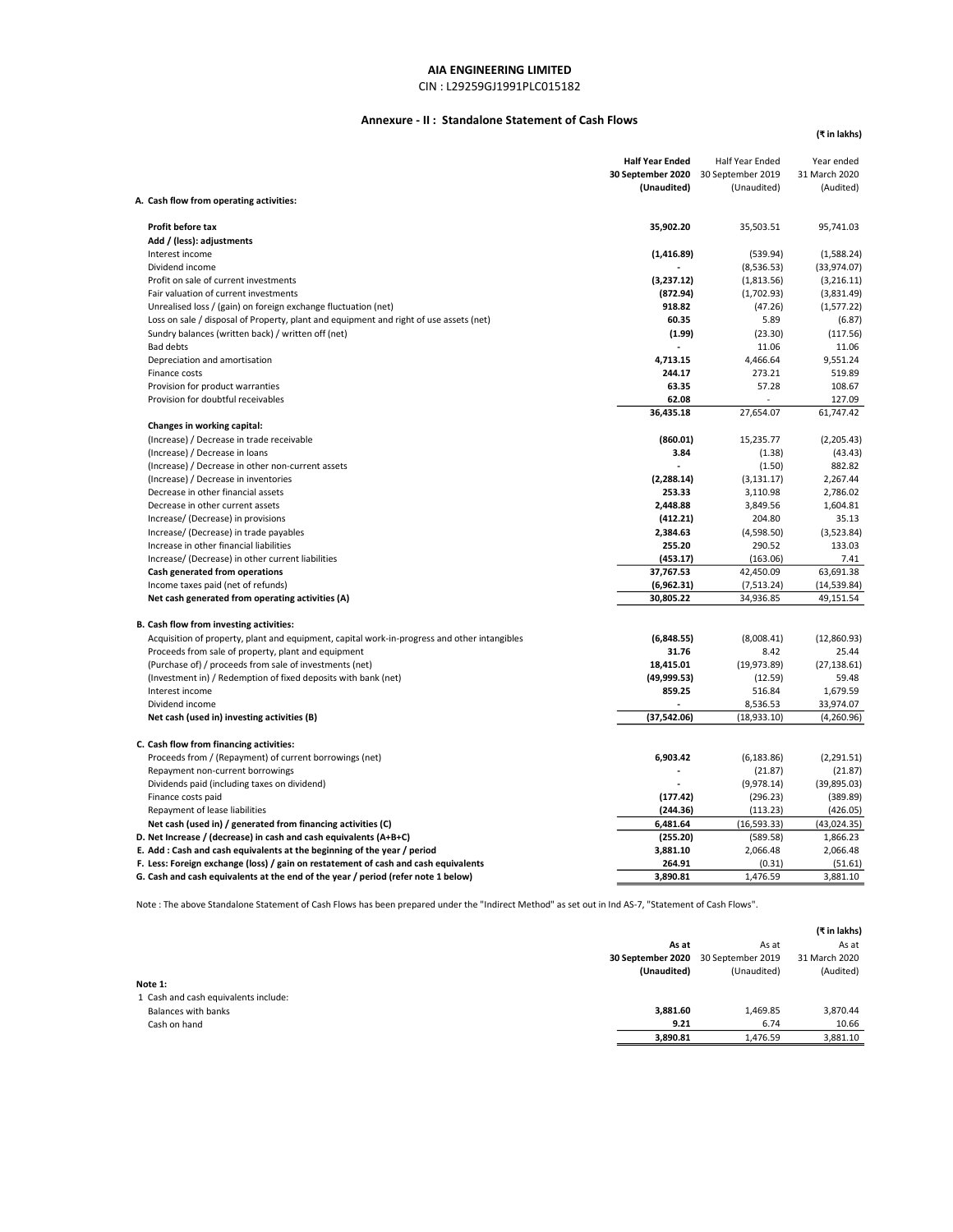## CIN : L29259GJ1991PLC015182

## Annexure - II : Standalone Statement of Cash Flows

(₹ in lakhs)

|                                                                                              | <b>Half Year Ended</b><br>30 September 2020 | Half Year Ended<br>30 September 2019 | Year ended<br>31 March 2020 |
|----------------------------------------------------------------------------------------------|---------------------------------------------|--------------------------------------|-----------------------------|
|                                                                                              | (Unaudited)                                 | (Unaudited)                          | (Audited)                   |
| A. Cash flow from operating activities:                                                      |                                             |                                      |                             |
| Profit before tax                                                                            | 35,902.20                                   | 35,503.51                            | 95,741.03                   |
| Add / (less): adjustments                                                                    |                                             |                                      |                             |
| Interest income                                                                              | (1, 416.89)                                 | (539.94)                             | (1,588.24)                  |
| Dividend income                                                                              |                                             | (8,536.53)                           | (33,974.07)                 |
| Profit on sale of current investments                                                        | (3,237.12)                                  | (1,813.56)                           | (3,216.11)                  |
| Fair valuation of current investments                                                        | (872.94)                                    | (1,702.93)                           | (3,831.49)                  |
| Unrealised loss / (gain) on foreign exchange fluctuation (net)                               | 918.82                                      | (47.26)                              | (1,577.22)                  |
| Loss on sale / disposal of Property, plant and equipment and right of use assets (net)       | 60.35                                       | 5.89                                 | (6.87)                      |
| Sundry balances (written back) / written off (net)                                           | (1.99)                                      | (23.30)                              | (117.56)                    |
| <b>Bad debts</b>                                                                             |                                             | 11.06                                | 11.06                       |
| Depreciation and amortisation                                                                | 4,713.15                                    | 4,466.64                             | 9,551.24                    |
| Finance costs                                                                                | 244.17                                      | 273.21                               | 519.89                      |
| Provision for product warranties                                                             | 63.35                                       | 57.28                                | 108.67                      |
| Provision for doubtful receivables                                                           | 62.08                                       |                                      | 127.09                      |
|                                                                                              | 36,435.18                                   | 27,654.07                            | 61,747.42                   |
| Changes in working capital:                                                                  |                                             |                                      |                             |
| (Increase) / Decrease in trade receivable                                                    | (860.01)                                    | 15,235.77                            | (2,205.43)                  |
| (Increase) / Decrease in loans                                                               | 3.84                                        | (1.38)                               | (43.43)                     |
| (Increase) / Decrease in other non-current assets                                            |                                             | (1.50)                               | 882.82                      |
| (Increase) / Decrease in inventories                                                         | (2, 288.14)                                 | (3, 131.17)                          | 2,267.44                    |
| Decrease in other financial assets                                                           | 253.33                                      | 3,110.98                             | 2,786.02                    |
| Decrease in other current assets                                                             | 2,448.88                                    | 3,849.56                             | 1,604.81                    |
| Increase/ (Decrease) in provisions                                                           | (412.21)                                    | 204.80                               | 35.13                       |
| Increase/ (Decrease) in trade payables                                                       | 2,384.63                                    | (4,598.50)                           | (3,523.84)                  |
| Increase in other financial liabilities                                                      | 255.20                                      | 290.52                               | 133.03                      |
| Increase/ (Decrease) in other current liabilities                                            | (453.17)                                    | (163.06)                             | 7.41                        |
| Cash generated from operations                                                               | 37,767.53                                   | 42,450.09                            | 63,691.38                   |
| Income taxes paid (net of refunds)                                                           | (6,962.31)                                  | (7, 513.24)                          | (14, 539.84)                |
| Net cash generated from operating activities (A)                                             | 30,805.22                                   | 34,936.85                            | 49,151.54                   |
| B. Cash flow from investing activities:                                                      |                                             |                                      |                             |
| Acquisition of property, plant and equipment, capital work-in-progress and other intangibles | (6,848.55)                                  | (8,008.41)                           | (12,860.93)                 |
| Proceeds from sale of property, plant and equipment                                          | 31.76                                       | 8.42                                 | 25.44                       |
| (Purchase of) / proceeds from sale of investments (net)                                      | 18,415.01                                   | (19, 973.89)                         | (27, 138.61)                |
| (Investment in) / Redemption of fixed deposits with bank (net)                               | (49,999.53)                                 | (12.59)                              | 59.48                       |
| Interest income                                                                              | 859.25                                      | 516.84                               | 1,679.59                    |
| Dividend income                                                                              |                                             | 8,536.53                             | 33,974.07                   |
| Net cash (used in) investing activities (B)                                                  | (37, 542.06)                                | (18,933.10)                          | (4,260.96)                  |
| C. Cash flow from financing activities:                                                      |                                             |                                      |                             |
| Proceeds from / (Repayment) of current borrowings (net)                                      | 6,903.42                                    | (6, 183.86)                          | (2,291.51)                  |
| Repayment non-current borrowings                                                             |                                             | (21.87)                              | (21.87)                     |
| Dividends paid (including taxes on dividend)                                                 |                                             | (9,978.14)                           | (39, 895.03)                |
| Finance costs paid                                                                           | (177.42)                                    | (296.23)                             | (389.89)                    |
| Repayment of lease liabilities                                                               | (244.36)                                    | (113.23)                             | (426.05)                    |
| Net cash (used in) / generated from financing activities (C)                                 | 6,481.64                                    | (16, 593.33)                         | (43,024.35)                 |
| D. Net Increase / (decrease) in cash and cash equivalents (A+B+C)                            | (255.20)                                    | (589.58)                             | 1,866.23                    |
| E. Add: Cash and cash equivalents at the beginning of the year / period                      | 3,881.10                                    | 2,066.48                             | 2,066.48                    |
| F. Less: Foreign exchange (loss) / gain on restatement of cash and cash equivalents          | 264.91                                      | (0.31)                               | (51.61)                     |
| G. Cash and cash equivalents at the end of the year / period (refer note 1 below)            | 3,890.81                                    | 1,476.59                             | 3,881.10                    |

Note : The above Standalone Statement of Cash Flows has been prepared under the "Indirect Method" as set out in Ind AS-7, "Statement of Cash Flows".

|                                      |                   |                   | (₹ in lakhs)  |
|--------------------------------------|-------------------|-------------------|---------------|
|                                      | As at             | As at             | As at         |
|                                      | 30 September 2020 | 30 September 2019 | 31 March 2020 |
|                                      | (Unaudited)       | (Unaudited)       | (Audited)     |
| Note 1:                              |                   |                   |               |
| 1 Cash and cash equivalents include: |                   |                   |               |
| <b>Balances with banks</b>           | 3,881.60          | 1,469.85          | 3,870.44      |
| Cash on hand                         | 9.21              | 6.74              | 10.66         |
|                                      | 3,890.81          | 1,476.59          | 3,881.10      |